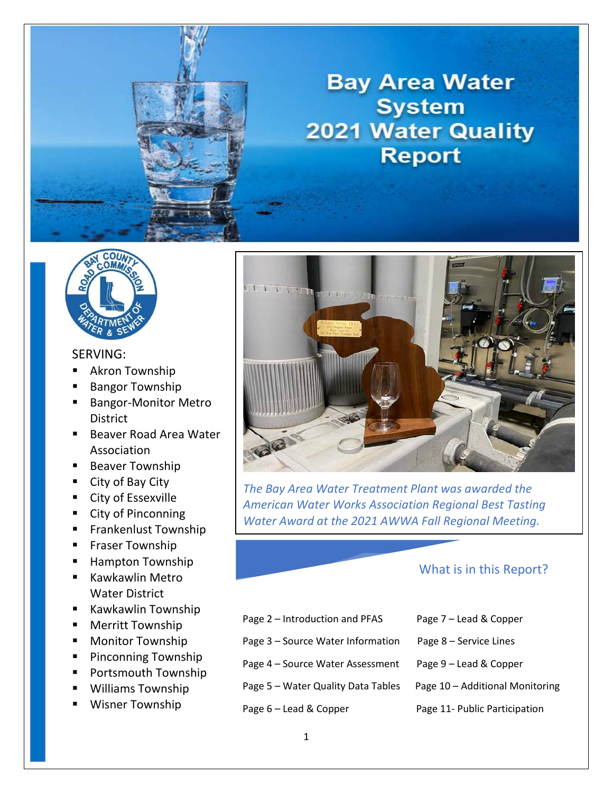

# **Bay Area Water System 2021 Water Quality Report**



### SERVING:

- Akron Township
- Bangor Township
- **Bangor-Monitor Metro** District
- Beaver Road Area Water Association
- **Beaver Township**
- City of Bay City
- **City of Essexville**
- City of Pinconning
- **Frankenlust Township**
- **Filter Township**
- **Hampton Township**
- Kawkawlin Metro Water District
- Kawkawlin Township
- **Merritt Township**
- **Monitor Township**
- **Pinconning Township**
- **Portsmouth Township**
- Williams Township
- Wisner Township



*The Bay Area Water Treatment Plant was awarded the American Water Works Association Regional Best Tasting Water Award at the 2021 AWWA Fall Regional Meeting.* 

### What is in this Report?

- Page 2 Introduction and PFAS Page 7 Lead & Copper
- Page 3 Source Water Information Page 8 Service Lines
- Page 4 Source Water Assessment Page 9 Lead & Copper
- Page 5 Water Quality Data Tables Page 10 Additional Monitoring
- 
- 
- 
- 
- 
- Page 6 Lead & Copper Page 11- Public Participation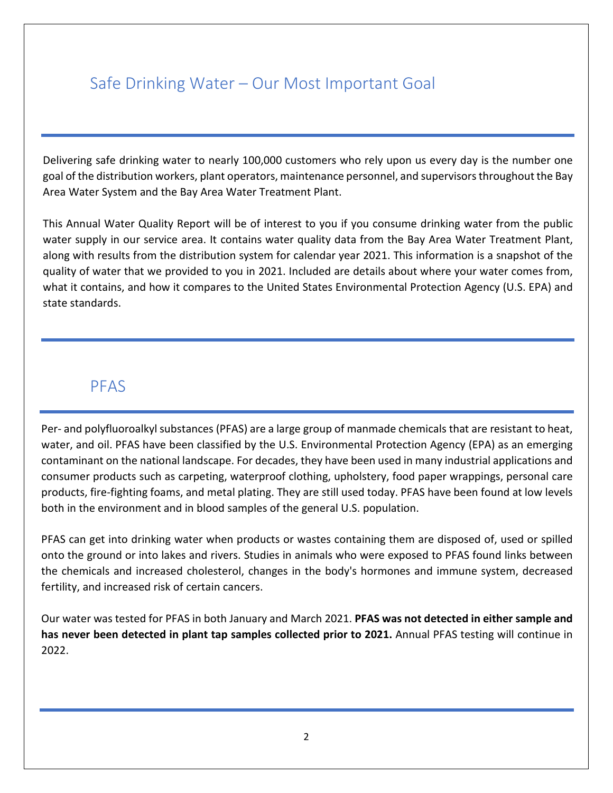## Safe Drinking Water – Our Most Important Goal

Delivering safe drinking water to nearly 100,000 customers who rely upon us every day is the number one goal of the distribution workers, plant operators, maintenance personnel, and supervisors throughout the Bay Area Water System and the Bay Area Water Treatment Plant.

This Annual Water Quality Report will be of interest to you if you consume drinking water from the public water supply in our service area. It contains water quality data from the Bay Area Water Treatment Plant, along with results from the distribution system for calendar year 2021. This information is a snapshot of the quality of water that we provided to you in 2021. Included are details about where your water comes from, what it contains, and how it compares to the United States Environmental Protection Agency (U.S. EPA) and state standards.

### PFAS

Per- and polyfluoroalkyl substances (PFAS) are a large group of manmade chemicals that are resistant to heat, water, and oil. PFAS have been classified by the U.S. Environmental Protection Agency (EPA) as an emerging contaminant on the national landscape. For decades, they have been used in many industrial applications and consumer products such as carpeting, waterproof clothing, upholstery, food paper wrappings, personal care products, fire-fighting foams, and metal plating. They are still used today. PFAS have been found at low levels both in the environment and in blood samples of the general U.S. population.

PFAS can get into drinking water when products or wastes containing them are disposed of, used or spilled onto the ground or into lakes and rivers. Studies in animals who were exposed to PFAS found links between the chemicals and increased cholesterol, changes in the body's hormones and immune system, decreased fertility, and increased risk of certain cancers.

Our water was tested for PFAS in both January and March 2021. **PFAS was not detected in either sample and has never been detected in plant tap samples collected prior to 2021.** Annual PFAS testing will continue in 2022.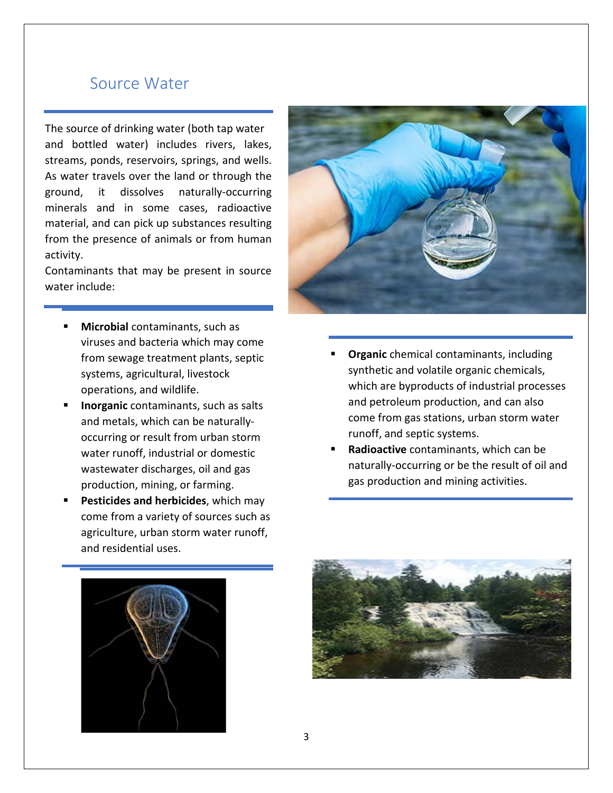## Source Water

The source of drinking water (both tap water and bottled water) includes rivers, lakes, streams, ponds, reservoirs, springs, and wells. As water travels over the land or through the ground, it dissolves naturally-occurring minerals and in some cases, radioactive material, and can pick up substances resulting from the presence of animals or from human activity.

Contaminants that may be present in source water include:

- **Microbial** contaminants, such as viruses and bacteria which may come from sewage treatment plants, septic systems, agricultural, livestock operations, and wildlife.
- **Inorganic** contaminants, such as salts and metals, which can be naturallyoccurring or result from urban storm water runoff, industrial or domestic wastewater discharges, oil and gas production, mining, or farming.
- **Pesticides and herbicides**, which may come from a variety of sources such as agriculture, urban storm water runoff, and residential uses.



- **Organic** chemical contaminants, including synthetic and volatile organic chemicals, which are byproducts of industrial processes and petroleum production, and can also come from gas stations, urban storm water runoff, and septic systems.
- **Radioactive** contaminants, which can be naturally-occurring or be the result of oil and gas production and mining activities.



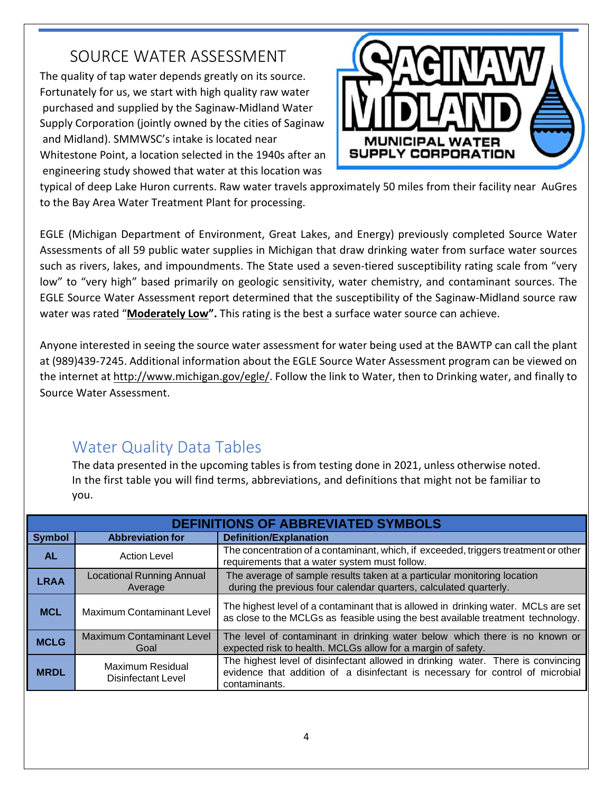# SOURCE WATER ASSESSMENT

The quality of tap water depends greatly on its source. Fortunately for us, we start with high quality raw water purchased and supplied by the Saginaw-Midland Water Supply Corporation (jointly owned by the cities of Saginaw and Midland). SMMWSC's intake is located near Whitestone Point, a location selected in the 1940s after an engineering study showed that water at this location was



typical of deep Lake Huron currents. Raw water travels approximately 50 miles from their facility near AuGres to the Bay Area Water Treatment Plant for processing.

EGLE (Michigan Department of Environment, Great Lakes, and Energy) previously completed Source Water Assessments of all 59 public water supplies in Michigan that draw drinking water from surface water sources such as rivers, lakes, and impoundments. The State used a seven-tiered susceptibility rating scale from "very low" to "very high" based primarily on geologic sensitivity, water chemistry, and contaminant sources. The EGLE Source Water Assessment report determined that the susceptibility of the Saginaw-Midland source raw water was rated "**Moderately Low".** This rating is the best a surface water source can achieve.

Anyone interested in seeing the source water assessment for water being used at the BAWTP can call the plant at (989)439-7245. Additional information about the EGLE Source Water Assessment program can be viewed on the internet at [http://www.michigan.gov/egle/.](http://www.michigan.gov/egle/) Follow the link to Water, then to Drinking water, and finally to Source Water Assessment.

# Water Quality Data Tables

The data presented in the upcoming tables is from testing done in 2021, unless otherwise noted. In the first table you will find terms, abbreviations, and definitions that might not be familiar to you.

|               | <b>DEFINITIONS OF ABBREVIATED SYMBOLS</b>   |                                                                                                                                                                                     |  |  |  |  |  |  |  |
|---------------|---------------------------------------------|-------------------------------------------------------------------------------------------------------------------------------------------------------------------------------------|--|--|--|--|--|--|--|
| <b>Symbol</b> | <b>Abbreviation for</b>                     | <b>Definition/Explanation</b>                                                                                                                                                       |  |  |  |  |  |  |  |
| <b>AL</b>     | <b>Action Level</b>                         | The concentration of a contaminant, which, if exceeded, triggers treatment or other<br>requirements that a water system must follow.                                                |  |  |  |  |  |  |  |
| <b>LRAA</b>   | <b>Locational Running Annual</b><br>Average | The average of sample results taken at a particular monitoring location<br>during the previous four calendar quarters, calculated quarterly.                                        |  |  |  |  |  |  |  |
| <b>MCL</b>    | <b>Maximum Contaminant Level</b>            | The highest level of a contaminant that is allowed in drinking water. MCLs are set<br>as close to the MCLGs as feasible using the best available treatment technology.              |  |  |  |  |  |  |  |
| <b>MCLG</b>   | <b>Maximum Contaminant Level</b><br>Goal    | The level of contaminant in drinking water below which there is no known or<br>expected risk to health. MCLGs allow for a margin of safety.                                         |  |  |  |  |  |  |  |
| <b>MRDL</b>   | Maximum Residual<br>Disinfectant Level      | The highest level of disinfectant allowed in drinking water. There is convincing<br>evidence that addition of a disinfectant is necessary for control of microbial<br>contaminants. |  |  |  |  |  |  |  |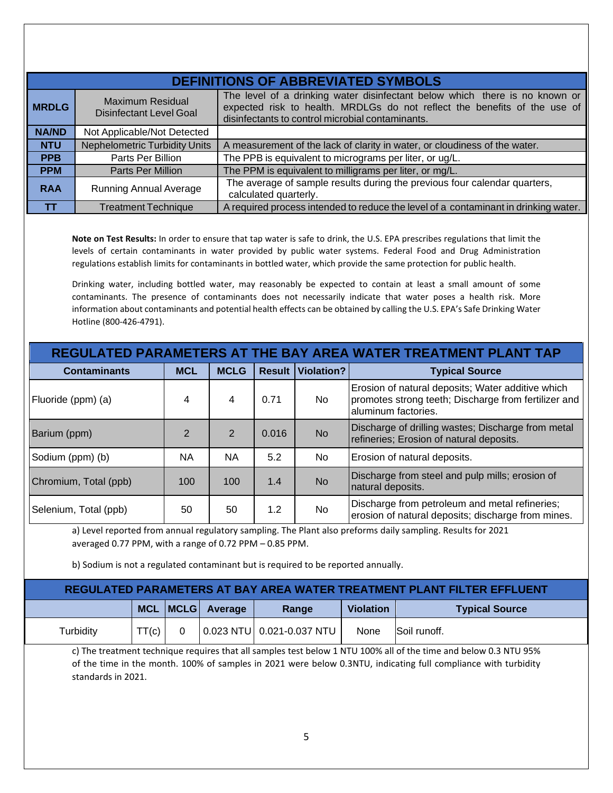|              | <b>DEFINITIONS OF ABBREVIATED SYMBOLS</b>          |                                                                                                                                                                                                              |  |  |  |  |  |  |  |
|--------------|----------------------------------------------------|--------------------------------------------------------------------------------------------------------------------------------------------------------------------------------------------------------------|--|--|--|--|--|--|--|
| <b>MRDLG</b> | Maximum Residual<br><b>Disinfectant Level Goal</b> | The level of a drinking water disinfectant below which there is no known or<br>expected risk to health. MRDLGs do not reflect the benefits of the use of<br>disinfectants to control microbial contaminants. |  |  |  |  |  |  |  |
| <b>NA/ND</b> | Not Applicable/Not Detected                        |                                                                                                                                                                                                              |  |  |  |  |  |  |  |
| <b>NTU</b>   | <b>Nephelometric Turbidity Units</b>               | A measurement of the lack of clarity in water, or cloudiness of the water.                                                                                                                                   |  |  |  |  |  |  |  |
| <b>PPB</b>   | Parts Per Billion                                  | The PPB is equivalent to micrograms per liter, or ug/L.                                                                                                                                                      |  |  |  |  |  |  |  |
| <b>PPM</b>   | Parts Per Million                                  | The PPM is equivalent to milligrams per liter, or mg/L.                                                                                                                                                      |  |  |  |  |  |  |  |
| <b>RAA</b>   | <b>Running Annual Average</b>                      | The average of sample results during the previous four calendar quarters,<br>calculated quarterly.                                                                                                           |  |  |  |  |  |  |  |
| TΤ           | Treatment Technique                                | A required process intended to reduce the level of a contaminant in drinking water.                                                                                                                          |  |  |  |  |  |  |  |

**Note on Test Results:** In order to ensure that tap water is safe to drink, the U.S. EPA prescribes regulations that limit the levels of certain contaminants in water provided by public water systems. Federal Food and Drug Administration regulations establish limits for contaminants in bottled water, which provide the same protection for public health.

Drinking water, including bottled water, may reasonably be expected to contain at least a small amount of some contaminants. The presence of contaminants does not necessarily indicate that water poses a health risk. More information about contaminants and potential health effects can be obtained by calling the U.S. EPA's Safe Drinking Water Hotline (800-426-4791).

| REGULATED PARAMETERS AT THE BAY AREA WATER TREATMENT PLANT TAP |                |                |       |                          |                                                                                                                                  |  |  |  |  |
|----------------------------------------------------------------|----------------|----------------|-------|--------------------------|----------------------------------------------------------------------------------------------------------------------------------|--|--|--|--|
| <b>Contaminants</b>                                            | <b>MCL</b>     | <b>MCLG</b>    |       | <b>Result Violation?</b> | <b>Typical Source</b>                                                                                                            |  |  |  |  |
| Fluoride (ppm) (a)                                             | 4              | 4              | 0.71  | No.                      | Erosion of natural deposits; Water additive which<br>promotes strong teeth; Discharge from fertilizer and<br>aluminum factories. |  |  |  |  |
| Barium (ppm)                                                   | $\overline{2}$ | $\overline{2}$ | 0.016 | <b>No</b>                | Discharge of drilling wastes; Discharge from metal<br>refineries; Erosion of natural deposits.                                   |  |  |  |  |
| Sodium (ppm) (b)                                               | <b>NA</b>      | <b>NA</b>      | 5.2   | No                       | Erosion of natural deposits.                                                                                                     |  |  |  |  |
| Chromium, Total (ppb)                                          | 100            | 100            | 1.4   | <b>No</b>                | Discharge from steel and pulp mills; erosion of<br>natural deposits.                                                             |  |  |  |  |
| Selenium, Total (ppb)                                          | 50             | 50             | 1.2   | No.                      | Discharge from petroleum and metal refineries;<br>erosion of natural deposits; discharge from mines.                             |  |  |  |  |

a) Level reported from annual regulatory sampling. The Plant also preforms daily sampling. Results for 2021 averaged 0.77 PPM, with a range of 0.72 PPM – 0.85 PPM.

b) Sodium is not a regulated contaminant but is required to be reported annually.

| REGULATED PARAMETERS AT BAY AREA WATER TREATMENT PLANT FILTER EFFLUENT |       |  |                      |       |                  |                       |  |  |  |
|------------------------------------------------------------------------|-------|--|----------------------|-------|------------------|-----------------------|--|--|--|
|                                                                        |       |  | MCL   MCLG   Average | Range | <b>Violation</b> | <b>Typical Source</b> |  |  |  |
| Turbiditv                                                              | TT(c) |  |                      |       | None             | Soil runoff.          |  |  |  |

c) The treatment technique requires that all samples test below 1 NTU 100% all of the time and below 0.3 NTU 95% of the time in the month. 100% of samples in 2021 were below 0.3NTU, indicating full compliance with turbidity standards in 2021.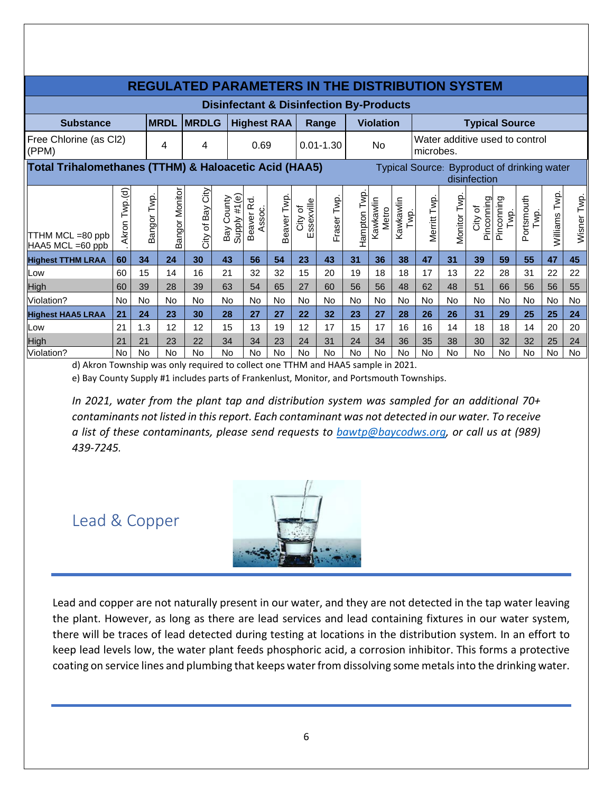| <b>REGULATED PARAMETERS IN THE DISTRIBUTION SYSTEM</b> |               |             |                |                  |                               |                      |                   |                       |               |                 |                    |                   |                                             |                                             |                       |                    |                    |               |             |
|--------------------------------------------------------|---------------|-------------|----------------|------------------|-------------------------------|----------------------|-------------------|-----------------------|---------------|-----------------|--------------------|-------------------|---------------------------------------------|---------------------------------------------|-----------------------|--------------------|--------------------|---------------|-------------|
| <b>Disinfectant &amp; Disinfection By-Products</b>     |               |             |                |                  |                               |                      |                   |                       |               |                 |                    |                   |                                             |                                             |                       |                    |                    |               |             |
| <b>Substance</b>                                       |               |             | <b>MRDL</b>    | <b>MRDLG</b>     |                               | <b>Highest RAA</b>   |                   |                       | Range         |                 | <b>Violation</b>   |                   |                                             | <b>Typical Source</b>                       |                       |                    |                    |               |             |
| Free Chlorine (as Cl2)<br>(PPM)                        |               |             | 4              | 4                |                               | 0.69                 |                   |                       | $0.01 - 1.30$ |                 | No                 |                   | Water additive used to control<br>microbes. |                                             |                       |                    |                    |               |             |
| Total Trihalomethanes (TTHM) & Haloacetic Acid (HAA5)  |               |             |                |                  |                               |                      |                   |                       |               |                 |                    |                   |                                             | Typical Source: Byproduct of drinking water | disinfection          |                    |                    |               |             |
| TTHM MCL =80 ppb<br>HAA5 MCL =60 ppb                   | Akron Twp.(d) | Bangor Twp. | Bangor Monitor | City of Bay City | Supply #1(e)<br>County<br>Bay | Beaver Rd.<br>Assoc. | <b>Beaver Twp</b> | Essexville<br>City of | Fraser Twp    | Twp.<br>Hampton | Kawkawlin<br>Metro | Kawkawlin<br>Twp. | Merritt Twp                                 | Monitor Twp                                 | Pinconning<br>City of | Pinconning<br>Twp. | Portsmouth<br>Twp. | Williams Twp. | Wisner Twp. |
| <b>Highest TTHM LRAA</b>                               | 60            | 34          | 24             | 30               | 43                            | 56                   | 54                | 23                    | 43            | 31              | 36                 | 38                | 47                                          | 31                                          | 39                    | 59                 | 55                 | 47            | 45          |
| Low                                                    | 60            | 15          | 14             | 16               | 21                            | 32                   | 32                | 15                    | 20            | 19              | 18                 | 18                | 17                                          | 13                                          | 22                    | 28                 | 31                 | 22            | 22          |
| High                                                   | 60            | 39          | 28             | 39               | 63                            | 54                   | 65                | 27                    | 60            | 56              | 56                 | 48                | 62                                          | 48                                          | 51                    | 66                 | 56                 | 56            | 55          |
| Violation?                                             | No.           | No          | <b>No</b>      | No.              | No                            | No                   | No                | No                    | No            | No              | <b>No</b>          | <b>No</b>         | No                                          | No                                          | No                    | No                 | No                 | No            | No          |
| <b>Highest HAA5 LRAA</b>                               | 21            | 24          | 23             | 30               | 28                            | 27                   | 27                | 22                    | 32            | 23              | 27                 | 28                | 26                                          | 26                                          | 31                    | 29                 | 25                 | 25            | 24          |
| Low                                                    | 21            | 1.3         | 12             | 12               | 15                            | 13                   | 19                | 12                    | 17            | 15              | 17                 | 16                | 16                                          | 14                                          | 18                    | 18                 | 14                 | 20            | 20          |
| High                                                   | 21            | 21          | 23             | 22               | 34                            | 34                   | 23                | 24                    | 31            | 24              | 34                 | 36                | 35                                          | 38                                          | 30                    | 32                 | 32                 | 25            | 24          |
| Violation?                                             | <b>No</b>     | No          | <b>No</b>      | No               | No                            | No                   | No                | No                    | No            | No              | <b>No</b>          | No                | No                                          | No                                          | <b>No</b>             | No                 | No                 | No            | No          |

d) Akron Township was only required to collect one TTHM and HAA5 sample in 2021.

e) Bay County Supply #1 includes parts of Frankenlust, Monitor, and Portsmouth Townships.

*In 2021, water from the plant tap and distribution system was sampled for an additional 70+ contaminants not listed in this report. Each contaminant was not detected in our water. To receive a list of these contaminants, please send requests to [bawtp@baycodws.org,](mailto:bawtp@baycodws.org) or call us at (989) 439-7245.* 

### Lead & Copper



Lead and copper are not naturally present in our water, and they are not detected in the tap water leaving the plant. However, as long as there are lead services and lead containing fixtures in our water system, there will be traces of lead detected during testing at locations in the distribution system. In an effort to keep lead levels low, the water plant feeds phosphoric acid, a corrosion inhibitor. This forms a protective coating on service lines and plumbing that keeps water from dissolving some metals into the drinking water.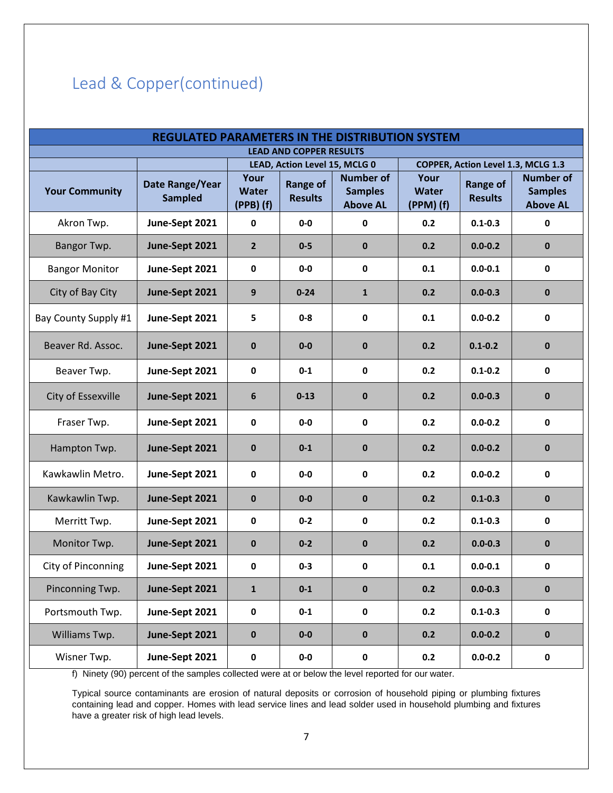# Lead & Copper(continued)

| <b>REGULATED PARAMETERS IN THE DISTRIBUTION SYSTEM</b> |                                   |                                                                                                         |          |                                                       |                                   |                                   |                                                                                             |  |  |  |
|--------------------------------------------------------|-----------------------------------|---------------------------------------------------------------------------------------------------------|----------|-------------------------------------------------------|-----------------------------------|-----------------------------------|---------------------------------------------------------------------------------------------|--|--|--|
| <b>LEAD AND COPPER RESULTS</b>                         |                                   |                                                                                                         |          |                                                       |                                   |                                   |                                                                                             |  |  |  |
| <b>Your Community</b>                                  | Date Range/Year<br><b>Sampled</b> | LEAD, Action Level 15, MCLG 0<br>Your<br><b>Range of</b><br><b>Water</b><br><b>Results</b><br>(PPB) (f) |          | <b>Number of</b><br><b>Samples</b><br><b>Above AL</b> | Your<br><b>Water</b><br>(PPM) (f) | <b>Range of</b><br><b>Results</b> | COPPER, Action Level 1.3, MCLG 1.3<br><b>Number of</b><br><b>Samples</b><br><b>Above AL</b> |  |  |  |
| Akron Twp.                                             | June-Sept 2021                    | 0                                                                                                       | $0-0$    | 0                                                     | 0.2                               | $0.1 - 0.3$                       | $\mathbf 0$                                                                                 |  |  |  |
| Bangor Twp.                                            | June-Sept 2021                    | $\overline{2}$                                                                                          | $0-5$    | $\mathbf 0$                                           | 0.2                               | $0.0 - 0.2$                       | $\mathbf{0}$                                                                                |  |  |  |
| <b>Bangor Monitor</b>                                  | June-Sept 2021                    | 0                                                                                                       | $0-0$    | $\mathbf{0}$                                          | 0.1                               | $0.0 - 0.1$                       | $\mathbf 0$                                                                                 |  |  |  |
| City of Bay City                                       | June-Sept 2021                    | 9                                                                                                       | $0 - 24$ | $\mathbf{1}$                                          | 0.2                               | $0.0 - 0.3$                       | $\mathbf 0$                                                                                 |  |  |  |
| Bay County Supply #1                                   | June-Sept 2021                    | 5                                                                                                       | $0 - 8$  | $\mathbf 0$                                           | 0.1                               | $0.0 - 0.2$                       | $\pmb{0}$                                                                                   |  |  |  |
| Beaver Rd. Assoc.                                      | June-Sept 2021                    | $\mathbf 0$                                                                                             | $0-0$    | $\bf{0}$                                              | 0.2                               | $0.1 - 0.2$                       | $\mathbf{0}$                                                                                |  |  |  |
| Beaver Twp.                                            | June-Sept 2021                    | 0                                                                                                       | $0 - 1$  | $\mathbf 0$                                           | 0.2                               | $0.1 - 0.2$                       | $\mathbf 0$                                                                                 |  |  |  |
| City of Essexville                                     | June-Sept 2021                    | 6                                                                                                       | $0 - 13$ | $\mathbf 0$                                           | 0.2                               | $0.0 - 0.3$                       | $\mathbf 0$                                                                                 |  |  |  |
| Fraser Twp.                                            | June-Sept 2021                    | 0                                                                                                       | $0-0$    | $\mathbf{0}$                                          | 0.2                               | $0.0 - 0.2$                       | $\mathbf 0$                                                                                 |  |  |  |
| Hampton Twp.                                           | June-Sept 2021                    | $\mathbf 0$                                                                                             | $0 - 1$  | $\mathbf 0$                                           | 0.2                               | $0.0 - 0.2$                       | $\mathbf 0$                                                                                 |  |  |  |
| Kawkawlin Metro.                                       | June-Sept 2021                    | $\mathbf 0$                                                                                             | $0-0$    | $\mathbf 0$                                           | 0.2                               | $0.0 - 0.2$                       | $\mathbf 0$                                                                                 |  |  |  |
| Kawkawlin Twp.                                         | June-Sept 2021                    | $\mathbf 0$                                                                                             | $0-0$    | $\mathbf 0$                                           | 0.2                               | $0.1 - 0.3$                       | $\mathbf 0$                                                                                 |  |  |  |
| Merritt Twp.                                           | June-Sept 2021                    | 0                                                                                                       | $0 - 2$  | $\mathbf 0$                                           | 0.2                               | $0.1 - 0.3$                       | 0                                                                                           |  |  |  |
| Monitor Twp.                                           | June-Sept 2021                    | $\mathbf 0$                                                                                             | $0 - 2$  | $\mathbf 0$                                           | 0.2                               | $0.0 - 0.3$                       | $\mathbf 0$                                                                                 |  |  |  |
| City of Pinconning                                     | June-Sept 2021                    | 0                                                                                                       | $0 - 3$  | 0                                                     | 0.1                               | $0.0 - 0.1$                       | 0                                                                                           |  |  |  |
| Pinconning Twp.                                        | June-Sept 2021                    | $\mathbf{1}$                                                                                            | $0-1$    | $\pmb{0}$                                             | 0.2                               | $0.0 - 0.3$                       | $\pmb{0}$                                                                                   |  |  |  |
| Portsmouth Twp.                                        | June-Sept 2021                    | $\mathbf 0$                                                                                             | $0 - 1$  | $\mathbf 0$                                           | 0.2                               | $0.1 - 0.3$                       | $\mathbf 0$                                                                                 |  |  |  |
| Williams Twp.                                          | June-Sept 2021                    | $\pmb{0}$                                                                                               | $0-0$    | $\pmb{0}$                                             | 0.2                               | $0.0 - 0.2$                       | $\mathbf 0$                                                                                 |  |  |  |
| Wisner Twp.                                            | June-Sept 2021                    | $\pmb{0}$                                                                                               | $0-0$    | $\mathbf 0$                                           | 0.2                               | $0.0 - 0.2$                       | $\mathbf 0$                                                                                 |  |  |  |

f) Ninety (90) percent of the samples collected were at or below the level reported for our water.

Typical source contaminants are erosion of natural deposits or corrosion of household piping or plumbing fixtures containing lead and copper. Homes with lead service lines and lead solder used in household plumbing and fixtures have a greater risk of high lead levels.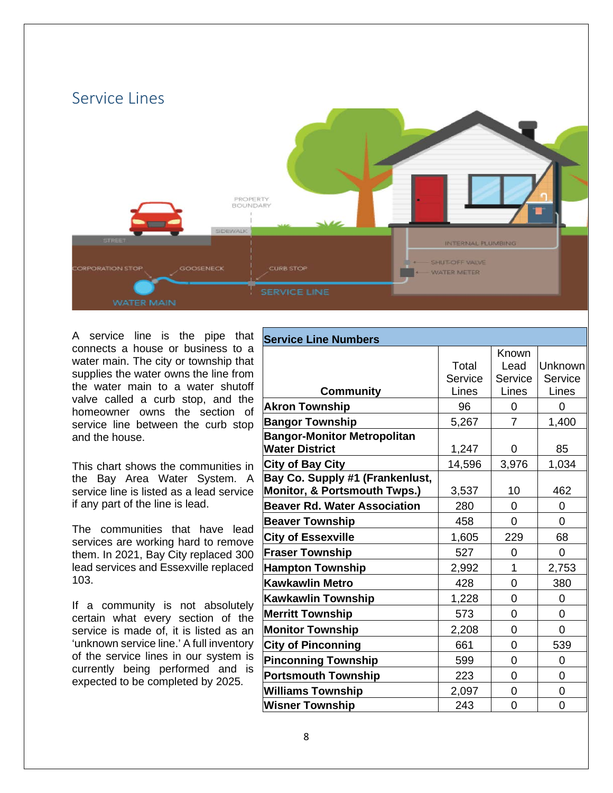

A service line is the pipe that connects a house or business to a water main. The city or township that supplies the water owns the line from the water main to a water shutoff valve called a curb stop, and the homeowner owns the section of service line between the curb stop and the house.

This chart shows the communities in the Bay Area Water System. A service line is listed as a lead service if any part of the line is lead.

The communities that have lead services are working hard to remove them. In 2021, Bay City replaced 300 lead services and Essexville replaced 103.

If a community is not absolutely certain what every section of the service is made of, it is listed as an 'unknown service line.' A full inventory of the service lines in our system is currently being performed and is expected to be completed by 2025.

| <b>Service Line Numbers</b>                                                |                  |                          |                    |  |  |  |
|----------------------------------------------------------------------------|------------------|--------------------------|--------------------|--|--|--|
|                                                                            | Total<br>Service | Known<br>Lead<br>Service | Unknown<br>Service |  |  |  |
| <b>Community</b>                                                           | Lines            | Lines                    | Lines              |  |  |  |
| <b>Akron Township</b>                                                      | 96               | 0                        | 0                  |  |  |  |
| <b>Bangor Township</b>                                                     | 5,267            | 7                        | 1,400              |  |  |  |
| <b>Bangor-Monitor Metropolitan</b><br><b>Water District</b>                | 1,247            | 0                        | 85                 |  |  |  |
| <b>City of Bay City</b>                                                    | 14,596           | 3,976                    | 1,034              |  |  |  |
| Bay Co. Supply #1 (Frankenlust,<br><b>Monitor, &amp; Portsmouth Twps.)</b> | 3,537            | 10                       | 462                |  |  |  |
| <b>Beaver Rd. Water Association</b>                                        | 280              | 0                        | 0                  |  |  |  |
| <b>Beaver Township</b>                                                     | 458              | 0                        | 0                  |  |  |  |
| <b>City of Essexville</b>                                                  | 1,605            | 229                      | 68                 |  |  |  |
| <b>Fraser Township</b>                                                     | 527              | 0                        | 0                  |  |  |  |
| <b>Hampton Township</b>                                                    | 2,992            | 1                        | 2,753              |  |  |  |
| <b>Kawkawlin Metro</b>                                                     | 428              | 0                        | 380                |  |  |  |
| <b>Kawkawlin Township</b>                                                  | 1,228            | 0                        | 0                  |  |  |  |
| <b>Merritt Township</b>                                                    | 573              | 0                        | 0                  |  |  |  |
| <b>Monitor Township</b>                                                    | 2,208            | 0                        | 0                  |  |  |  |
| <b>City of Pinconning</b>                                                  | 661              | 0                        | 539                |  |  |  |
| <b>Pinconning Township</b>                                                 | 599              | 0                        | 0                  |  |  |  |
| <b>Portsmouth Township</b>                                                 | 223              | 0                        | 0                  |  |  |  |
| <b>Williams Township</b>                                                   | 2,097            | 0                        | 0                  |  |  |  |
| <b>Wisner Township</b>                                                     | 243              | 0                        | 0                  |  |  |  |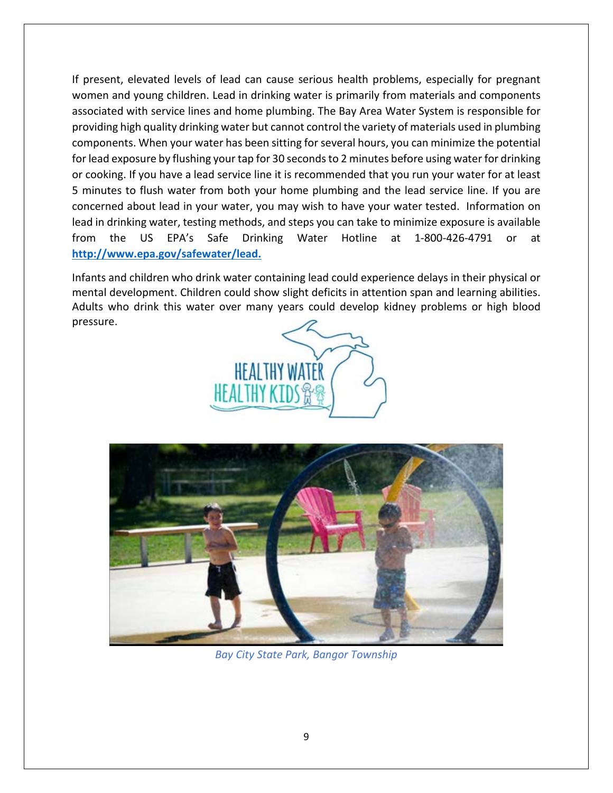If present, elevated levels of lead can cause serious health problems, especially for pregnant women and young children. Lead in drinking water is primarily from materials and components associated with service lines and home plumbing. The Bay Area Water System is responsible for providing high quality drinking water but cannot control the variety of materials used in plumbing components. When your water has been sitting for several hours, you can minimize the potential for lead exposure by flushing your tap for 30 seconds to 2 minutes before using water for drinking or cooking. If you have a lead service line it is recommended that you run your water for at least 5 minutes to flush water from both your home plumbing and the lead service line. If you are concerned about lead in your water, you may wish to have your water tested. Information on lead in drinking water, testing methods, and steps you can take to minimize exposure is available from the US EPA's Safe Drinking Water Hotline at 1-800-426-4791 or at **[http://www.epa.gov/safewater/lead.](http://www.epa.gov/safewater/lead)**

Infants and children who drink water containing lead could experience delays in their physical or mental development. Children could show slight deficits in attention span and learning abilities. Adults who drink this water over many years could develop kidney problems or high blood pressure.





*Bay City State Park, Bangor Township*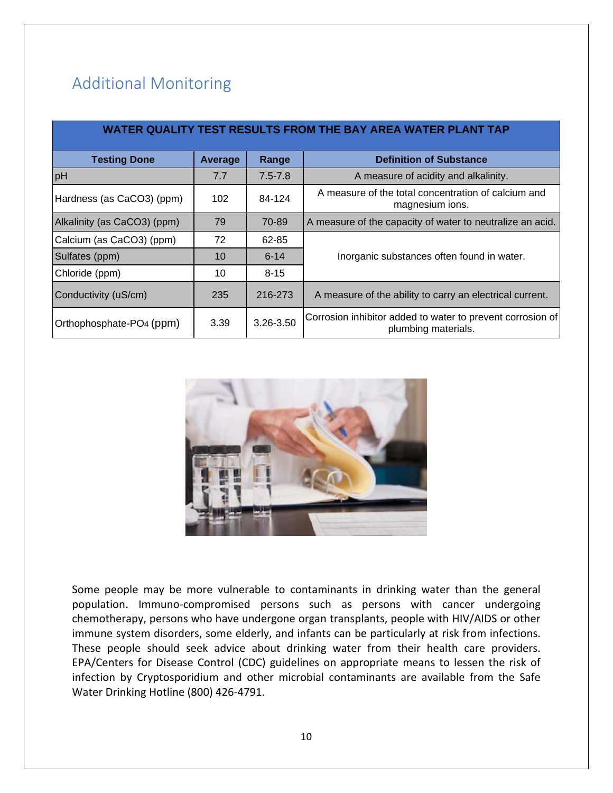# Additional Monitoring

| WATER QUALITY TEST RESULTS FROM THE BAY AREA WATER PLANT TAP |                |             |                                                                                   |  |  |  |  |  |
|--------------------------------------------------------------|----------------|-------------|-----------------------------------------------------------------------------------|--|--|--|--|--|
| <b>Testing Done</b>                                          | <b>Average</b> | Range       | <b>Definition of Substance</b>                                                    |  |  |  |  |  |
| pH                                                           | 7.7            | $7.5 - 7.8$ | A measure of acidity and alkalinity.                                              |  |  |  |  |  |
| Hardness (as CaCO3) (ppm)                                    | 102            | 84-124      | A measure of the total concentration of calcium and<br>magnesium ions.            |  |  |  |  |  |
| Alkalinity (as CaCO3) (ppm)                                  | 79             | 70-89       | A measure of the capacity of water to neutralize an acid.                         |  |  |  |  |  |
| Calcium (as CaCO3) (ppm)                                     | 72             | 62-85       |                                                                                   |  |  |  |  |  |
| Sulfates (ppm)                                               | 10             | $6 - 14$    | Inorganic substances often found in water.                                        |  |  |  |  |  |
| Chloride (ppm)                                               | 10             | $8 - 15$    |                                                                                   |  |  |  |  |  |
| Conductivity (uS/cm)                                         | 235            | 216-273     | A measure of the ability to carry an electrical current.                          |  |  |  |  |  |
| Orthophosphate-PO4 (ppm)                                     | 3.39           | 3.26-3.50   | Corrosion inhibitor added to water to prevent corrosion of<br>plumbing materials. |  |  |  |  |  |



Some people may be more vulnerable to contaminants in drinking water than the general population. Immuno-compromised persons such as persons with cancer undergoing chemotherapy, persons who have undergone organ transplants, people with HIV/AIDS or other immune system disorders, some elderly, and infants can be particularly at risk from infections. These people should seek advice about drinking water from their health care providers. EPA/Centers for Disease Control (CDC) guidelines on appropriate means to lessen the risk of infection by Cryptosporidium and other microbial contaminants are available from the Safe Water Drinking Hotline (800) 426-4791.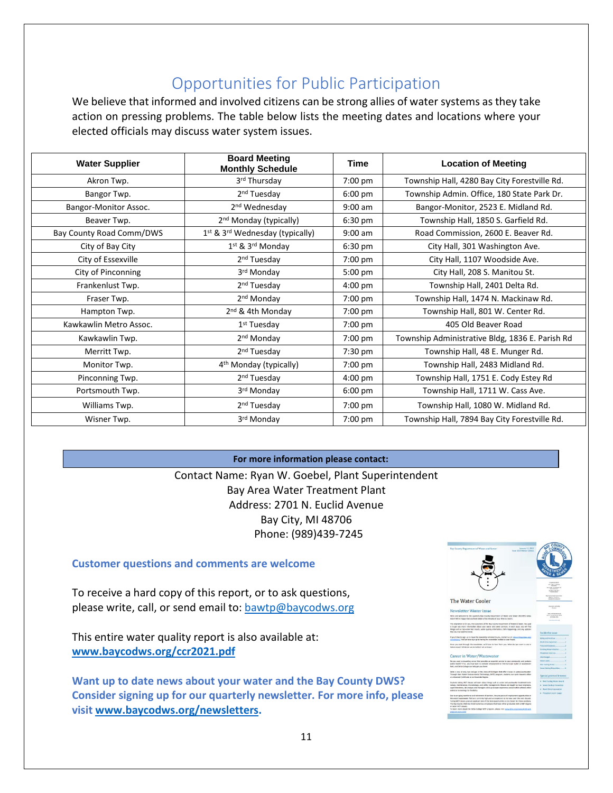# Opportunities for Public Participation

We believe that informed and involved citizens can be strong allies of water systems as they take action on pressing problems. The table below lists the meeting dates and locations where your elected officials may discuss water system issues.

| <b>Water Supplier</b>    | <b>Board Meeting</b><br><b>Monthly Schedule</b> | Time              | <b>Location of Meeting</b>                      |
|--------------------------|-------------------------------------------------|-------------------|-------------------------------------------------|
| Akron Twp.               | 3rd Thursday                                    | 7:00 pm           | Township Hall, 4280 Bay City Forestville Rd.    |
| Bangor Twp.              | 2 <sup>nd</sup> Tuesday                         | $6:00 \text{ pm}$ | Township Admin. Office, 180 State Park Dr.      |
| Bangor-Monitor Assoc.    | 2 <sup>nd</sup> Wednesday                       | $9:00$ am         | Bangor-Monitor, 2523 E. Midland Rd.             |
| Beaver Twp.              | 2 <sup>nd</sup> Monday (typically)              | $6:30 \text{ pm}$ | Township Hall, 1850 S. Garfield Rd.             |
| Bay County Road Comm/DWS | 1st & 3rd Wednesday (typically)                 | $9:00$ am         | Road Commission, 2600 E. Beaver Rd.             |
| City of Bay City         | $1st$ & $3rd$ Monday                            | 6:30 pm           | City Hall, 301 Washington Ave.                  |
| City of Essexville       | 2 <sup>nd</sup> Tuesday                         | 7:00 pm           | City Hall, 1107 Woodside Ave.                   |
| City of Pinconning       | 3rd Monday                                      | 5:00 pm           | City Hall, 208 S. Manitou St.                   |
| Frankenlust Twp.         | 2 <sup>nd</sup> Tuesday                         | $4:00 \text{ pm}$ | Township Hall, 2401 Delta Rd.                   |
| Fraser Twp.              | 2 <sup>nd</sup> Monday                          | 7:00 pm           | Township Hall, 1474 N. Mackinaw Rd.             |
| Hampton Twp.             | 2 <sup>nd</sup> & 4th Monday                    | 7:00 pm           | Township Hall, 801 W. Center Rd.                |
| Kawkawlin Metro Assoc.   | $1st$ Tuesday                                   | 7:00 pm           | 405 Old Beaver Road                             |
| Kawkawlin Twp.           | 2 <sup>nd</sup> Monday                          | 7:00 pm           | Township Administrative Bldg, 1836 E. Parish Rd |
| Merritt Twp.             | 2 <sup>nd</sup> Tuesday                         | 7:30 pm           | Township Hall, 48 E. Munger Rd.                 |
| Monitor Twp.             | 4 <sup>th</sup> Monday (typically)              | 7:00 pm           | Township Hall, 2483 Midland Rd.                 |
| Pinconning Twp.          | 2 <sup>nd</sup> Tuesday                         | $4:00 \text{ pm}$ | Township Hall, 1751 E. Cody Estey Rd            |
| Portsmouth Twp.          | 3rd Monday                                      | $6:00 \text{ pm}$ | Township Hall, 1711 W. Cass Ave.                |
| Williams Twp.            | 2 <sup>nd</sup> Tuesday                         | 7:00 pm           | Township Hall, 1080 W. Midland Rd.              |
| Wisner Twp.              | 3rd Monday                                      | 7:00 pm           | Township Hall, 7894 Bay City Forestville Rd.    |

**For more information please contact:** Contact Name: Ryan W. Goebel, Plant Superintendent Bay Area Water Treatment Plant Address: 2701 N. Euclid Avenue Bay City, MI 48706 Phone: (989)439-7245

### **Customer questions and comments are welcome**

To receive a hard copy of this report, or to ask questions, please write, call, or send email to: [bawtp@baycodws.org](mailto:bawtp@baycodws.org)

This entire water quality report is also available at: **[www.baycodws.org/ccr2021.pdf](http://www.baycodws.org/ccr2021.pdf)**

**Want up to date news about your water and the Bay County DWS? Consider signing up for our quarterly newsletter. For more info, please visit [www.baycodws.org/newsletters.](http://www.baycodws.org/newsletters)**